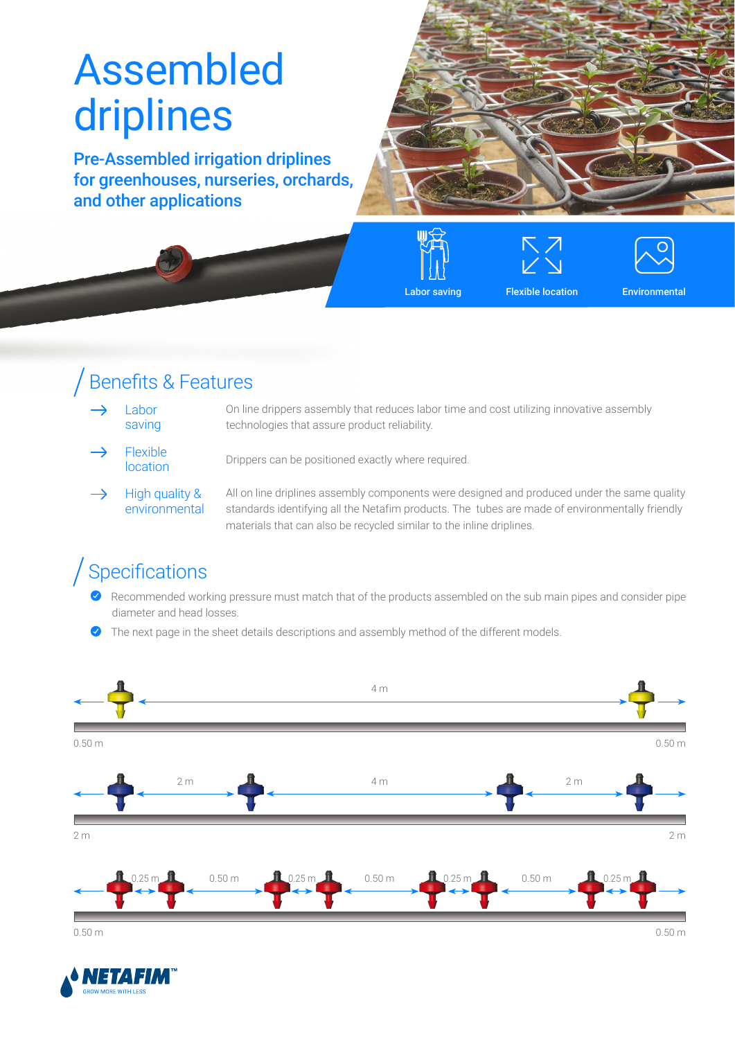# Assembled driplines

Pre-Assembled irrigation driplines for greenhouses, nurseries, orchards, and other applications









## Benefits & Features

- Labor saving On line drippers assembly that reduces labor time and cost utilizing innovative assembly technologies that assure product reliability.
- Flexible **LIEXIDIE**<br>**location** Drippers can be positioned exactly where required.
- $\rightarrow$ High quality & environmental

All on line driplines assembly components were designed and produced under the same quality standards identifying all the Netafim products. The tubes are made of environmentally friendly materials that can also be recycled similar to the inline driplines.

## Specifications

- Recommended working pressure must match that of the products assembled on the sub main pipes and consider pipe diameter and head losses.
- The next page in the sheet details descriptions and assembly method of the different models.